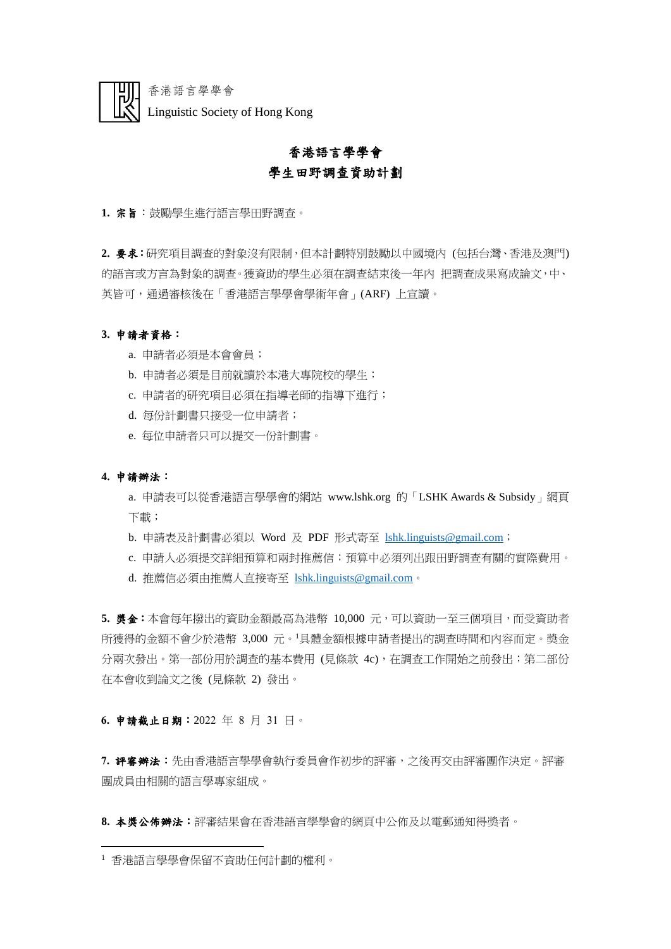

香港語言學學會 Linguistic Society of Hong Kong

# 香港語言學學會 學生田野調查資助計劃

**1.** 宗旨:鼓勵學生進行語言學田野調查。

**2.** 要求:研究項目調查的對象沒有限制,但本計劃特別鼓勵以中國境內 (包括台灣、香港及澳門) 的語言或方言為對象的調查。獲資助的學生必須在調查結束後一年內 把調查成果寫成論文,中、 英皆可,通過審核後在「香港語言學學會學術年會」(ARF) 上宣讀。

# **3.** 申請者資格:

- a. 申請者必須是本會會員;
- b. 申請者必須是目前就讀於本港大專院校的學生;
- c. 申請者的研究項目必須在指導老師的指導下進行;
- d. 每份計劃書只接受一位申請者;
- e. 每位申請者只可以提交一份計劃書。

# **4.** 申請辦法:

a. 申請表可以從香港語言學學會的網站 www.lshk.org 的「LSHK Awards & Subsidy」網頁 下載;

- b. 申請表及計劃書必須以 Word 及 PDF 形式寄至 [lshk.linguists@gmail.com](mailto:lshk.linguists@gmail.com);
- c. 申請人必須提交詳細預算和兩封推薦信;預算中必須列出跟田野調查有關的實際費用。
- d. 推薦信必須由推薦人直接寄至 [lshk.linguists@gmail.com](mailto:lshk.linguists@gmail.com)。

**5.** 獎金:本會每年撥出的資助金額最高為港幣 10,000 元,可以資助一至三個項目,而受資助者 所獲得的金額不會少於港幣 3,000 元。<sup>1</sup>具體金額根據申請者提出的調查時間和內容而定。獎金 分兩次發出。第一部份用於調查的基本費用(見條款 4c), 在調查工作開始之前發出; 第二部份 在本會收到論文之後 (見條款 2) 發出。

### **6.** 申請截止日期:2022 年 8 月 31 日。

**7.** 評審辦法:先由香港語言學學會執行委員會作初步的評審,之後再交由評審團作決定。評審 團成員由相關的語言學專家組成。

8. 本獎公佈辦法:評審結果會在香港語言學學會的網頁中公佈及以電郵通知得獎者。

<sup>1</sup> 香港語言學學會保留不資助任何計劃的權利。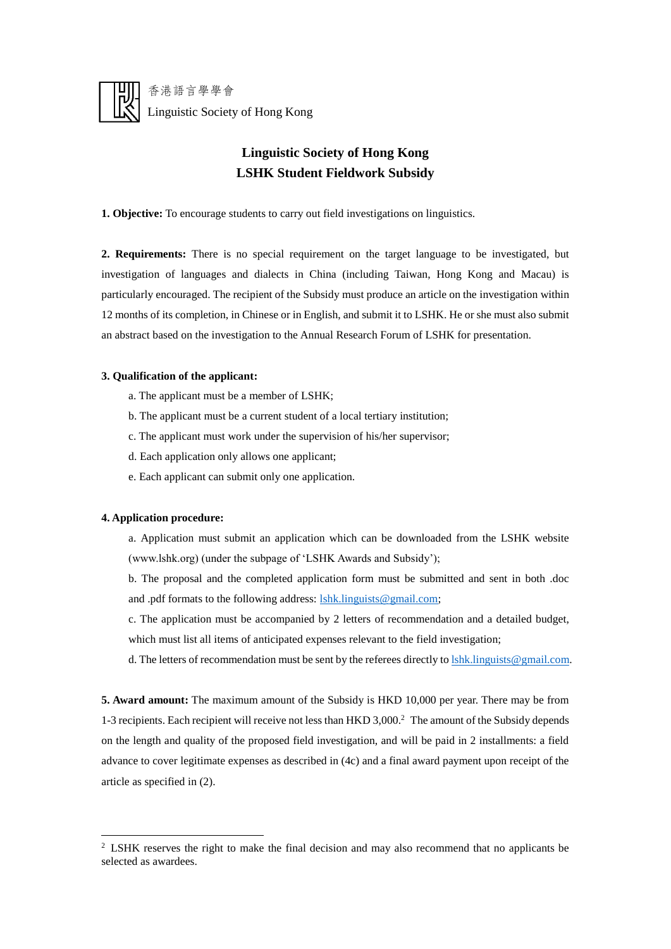

香港語言學學會 Linguistic Society of Hong Kong

# **Linguistic Society of Hong Kong LSHK Student Fieldwork Subsidy**

**1. Objective:** To encourage students to carry out field investigations on linguistics.

**2. Requirements:** There is no special requirement on the target language to be investigated, but investigation of languages and dialects in China (including Taiwan, Hong Kong and Macau) is particularly encouraged. The recipient of the Subsidy must produce an article on the investigation within 12 months of its completion, in Chinese or in English, and submit it to LSHK. He or she must also submit an abstract based on the investigation to the Annual Research Forum of LSHK for presentation.

### **3. Qualification of the applicant:**

- a. The applicant must be a member of LSHK;
- b. The applicant must be a current student of a local tertiary institution;
- c. The applicant must work under the supervision of his/her supervisor;
- d. Each application only allows one applicant;
- e. Each applicant can submit only one application.

### **4. Application procedure:**

- a. Application must submit an application which can be downloaded from the LSHK website (www.lshk.org) (under the subpage of 'LSHK Awards and Subsidy');
- b. The proposal and the completed application form must be submitted and sent in both .doc and .pdf formats to the following address: [lshk.linguists@gmail.com;](mailto:lshk.linguists@gmail.com)
- c. The application must be accompanied by 2 letters of recommendation and a detailed budget, which must list all items of anticipated expenses relevant to the field investigation;
- d. The letters of recommendation must be sent by the referees directly t[o lshk.linguists@gmail.com.](mailto:lshk.linguists@gmail.com)

**5. Award amount:** The maximum amount of the Subsidy is HKD 10,000 per year. There may be from 1-3 recipients. Each recipient will receive not less than HKD 3,000.<sup>2</sup> The amount of the Subsidy depends on the length and quality of the proposed field investigation, and will be paid in 2 installments: a field advance to cover legitimate expenses as described in (4c) and a final award payment upon receipt of the article as specified in (2).

<sup>&</sup>lt;sup>2</sup> LSHK reserves the right to make the final decision and may also recommend that no applicants be selected as awardees.